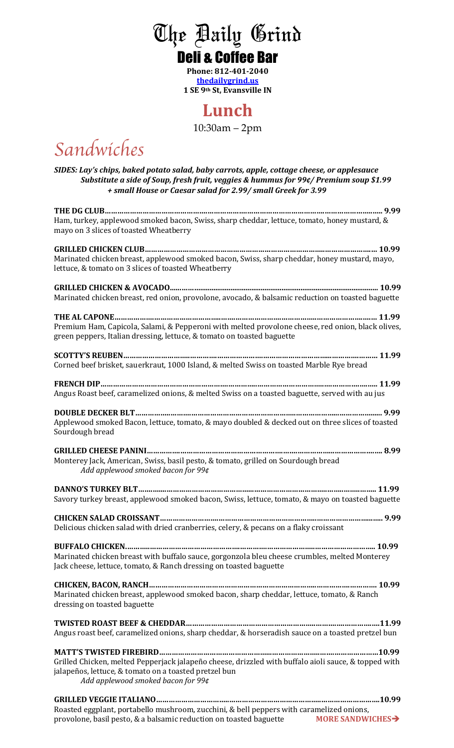# The Daily Grind Deli & Coffee Bar

**Phone: 812-401-2040 thedailygrind.us 1 SE 9th St, Evansville IN**

#### **Lunch**

10:30am – 2pm

*Sandwiches* 

SIDES: Lay's chips, baked potato salad, baby carrots, apple, cottage cheese, or applesauce *Substitute a side of Soup, fresh fruit, veggies & hummus for 99¢/ Premium soup \$1.99 + small House or Caesar salad for 2.99/ small Greek for 3.99*

| Ham, turkey, applewood smoked bacon, Swiss, sharp cheddar, lettuce, tomato, honey mustard, &<br>mayo on 3 slices of toasted Wheatberry                                                              |
|-----------------------------------------------------------------------------------------------------------------------------------------------------------------------------------------------------|
| Marinated chicken breast, applewood smoked bacon, Swiss, sharp cheddar, honey mustard, mayo,<br>lettuce, & tomato on 3 slices of toasted Wheatberry                                                 |
| Marinated chicken breast, red onion, provolone, avocado, & balsamic reduction on toasted baguette                                                                                                   |
| Premium Ham, Capicola, Salami, & Pepperoni with melted provolone cheese, red onion, black olives,<br>green peppers, Italian dressing, lettuce, & tomato on toasted baguette                         |
| Corned beef brisket, sauerkraut, 1000 Island, & melted Swiss on toasted Marble Rye bread                                                                                                            |
| Angus Roast beef, caramelized onions, & melted Swiss on a toasted baguette, served with au jus                                                                                                      |
| Applewood smoked Bacon, lettuce, tomato, & mayo doubled & decked out on three slices of toasted<br>Sourdough bread                                                                                  |
| Monterey Jack, American, Swiss, basil pesto, & tomato, grilled on Sourdough bread<br>Add applewood smoked bacon for 99¢                                                                             |
| Savory turkey breast, applewood smoked bacon, Swiss, lettuce, tomato, & mayo on toasted baguette                                                                                                    |
| Delicious chicken salad with dried cranberries, celery, & pecans on a flaky croissant                                                                                                               |
| Marinated chicken breast with buffalo sauce, gorgonzola bleu cheese crumbles, melted Monterey<br>Jack cheese, lettuce, tomato, & Ranch dressing on toasted baguette                                 |
| Marinated chicken breast, applewood smoked bacon, sharp cheddar, lettuce, tomato, & Ranch<br>dressing on toasted baguette                                                                           |
| Angus roast beef, caramelized onions, sharp cheddar, & horseradish sauce on a toasted pretzel bun                                                                                                   |
| Grilled Chicken, melted Pepperjack jalapeño cheese, drizzled with buffalo aioli sauce, & topped with<br>jalapeños, lettuce, & tomato on a toasted pretzel bun<br>Add applewood smoked bacon for 99¢ |
| Roasted eggplant, portabello mushroom, zucchini, & bell peppers with caramelized onions,                                                                                                            |

provolone, basil pesto, & a balsamic reduction on toasted baguette **MORE SANDWICHES**<sup>></sup>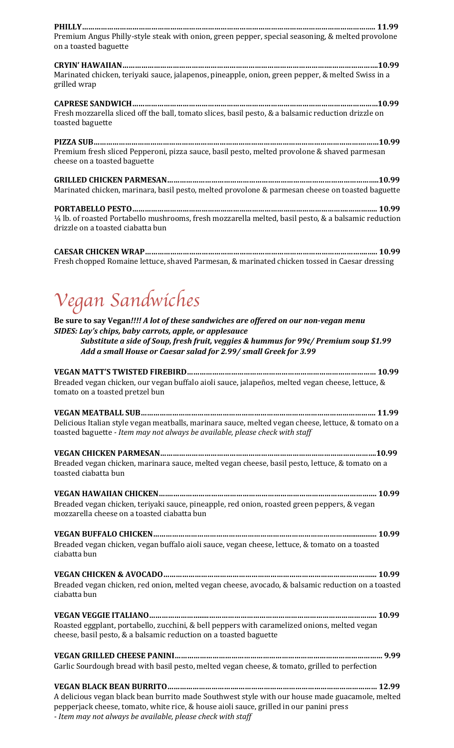| Premium Angus Philly-style steak with onion, green pepper, special seasoning, & melted provolone<br>on a toasted baguette                                                                                                                                                                                   |
|-------------------------------------------------------------------------------------------------------------------------------------------------------------------------------------------------------------------------------------------------------------------------------------------------------------|
| Marinated chicken, teriyaki sauce, jalapenos, pineapple, onion, green pepper, & melted Swiss in a<br>grilled wrap                                                                                                                                                                                           |
| Fresh mozzarella sliced off the ball, tomato slices, basil pesto, & a balsamic reduction drizzle on<br>toasted baguette                                                                                                                                                                                     |
| Premium fresh sliced Pepperoni, pizza sauce, basil pesto, melted provolone & shaved parmesan<br>cheese on a toasted baguette                                                                                                                                                                                |
| Marinated chicken, marinara, basil pesto, melted provolone & parmesan cheese on toasted baguette                                                                                                                                                                                                            |
| 1/4 lb. of roasted Portabello mushrooms, fresh mozzarella melted, basil pesto, & a balsamic reduction<br>drizzle on a toasted ciabatta bun                                                                                                                                                                  |
| Fresh chopped Romaine lettuce, shaved Parmesan, & marinated chicken tossed in Caesar dressing                                                                                                                                                                                                               |
| Vegan Sandwiches                                                                                                                                                                                                                                                                                            |
| Be sure to say Vegan!!!! A lot of these sandwiches are offered on our non-vegan menu<br>SIDES: Lay's chips, baby carrots, apple, or applesauce<br>Substitute a side of Soup, fresh fruit, veggies & hummus for 99¢/ Premium soup \$1.99<br>Add a small House or Caesar salad for 2.99/ small Greek for 3.99 |
| Breaded vegan chicken, our vegan buffalo aioli sauce, jalapeños, melted vegan cheese, lettuce, &<br>tomato on a toasted pretzel bun                                                                                                                                                                         |
| Delicious Italian style vegan meatballs, marinara sauce, melted vegan cheese, lettuce, & tomato on a<br>toasted baguette - Item may not always be available, please check with staff                                                                                                                        |
| Breaded vegan chicken, marinara sauce, melted vegan cheese, basil pesto, lettuce, & tomato on a<br>toasted ciabatta bun                                                                                                                                                                                     |
| Breaded vegan chicken, teriyaki sauce, pineapple, red onion, roasted green peppers, & vegan<br>mozzarella cheese on a toasted ciabatta bun                                                                                                                                                                  |
| Breaded vegan chicken, vegan buffalo aioli sauce, vegan cheese, lettuce, & tomato on a toasted<br>ciabatta bun                                                                                                                                                                                              |
| Breaded vegan chicken, red onion, melted vegan cheese, avocado, & balsamic reduction on a toasted<br>ciabatta bun                                                                                                                                                                                           |
| Roasted eggplant, portabello, zucchini, & bell peppers with caramelized onions, melted vegan<br>cheese, basil pesto, & a balsamic reduction on a toasted baguette                                                                                                                                           |
| Garlic Sourdough bread with basil pesto, melted vegan cheese, & tomato, grilled to perfection                                                                                                                                                                                                               |
| A delicious vegan black bean burrito made Southwest style with our house made guacamole, melted<br>pepperjack cheese, tomato, white rice, & house aioli sauce, grilled in our panini press                                                                                                                  |

*- Item may not always be available, please check with staff*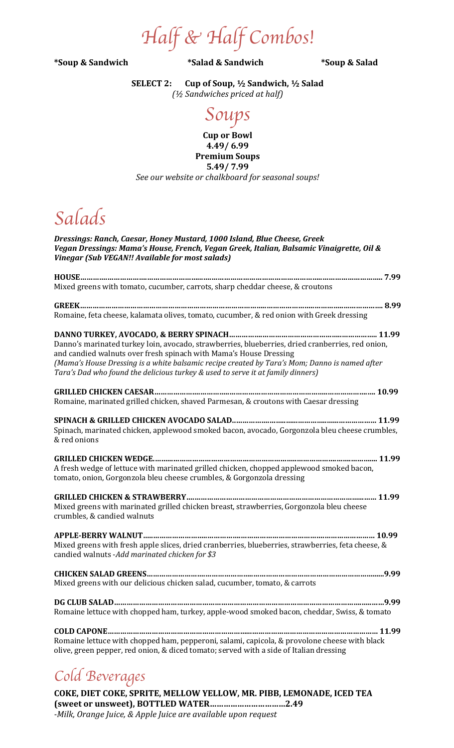*Half & Half Combos!*

**\*Soup & Sandwich \*Salad & Sandwich \*Soup & Salad**

**SELECT 2: Cup of Soup, ½ Sandwich, ½ Salad** *(½ Sandwiches priced at half)*

### *Soups*

**Cup or Bowl 4.49/ 6.99 Premium Soups 5.49/ 7.99** See our website or chalkboard for seasonal soups!

# *Salads*

| Dressings: Ranch, Caesar, Honey Mustard, 1000 Island, Blue Cheese, Greek<br>Vegan Dressings: Mama's House, French, Vegan Greek, Italian, Balsamic Vinaigrette, Oil &<br>Vinegar (Sub VEGAN!! Available for most salads)                                                                                                                                   |
|-----------------------------------------------------------------------------------------------------------------------------------------------------------------------------------------------------------------------------------------------------------------------------------------------------------------------------------------------------------|
| Mixed greens with tomato, cucumber, carrots, sharp cheddar cheese, & croutons                                                                                                                                                                                                                                                                             |
| Romaine, feta cheese, kalamata olives, tomato, cucumber, & red onion with Greek dressing                                                                                                                                                                                                                                                                  |
| Danno's marinated turkey loin, avocado, strawberries, blueberries, dried cranberries, red onion,<br>and candied walnuts over fresh spinach with Mama's House Dressing<br>(Mama's House Dressing is a white balsamic recipe created by Tara's Mom; Danno is named after<br>Tara's Dad who found the delicious turkey & used to serve it at family dinners) |
| Romaine, marinated grilled chicken, shaved Parmesan, & croutons with Caesar dressing                                                                                                                                                                                                                                                                      |
| Spinach, marinated chicken, applewood smoked bacon, avocado, Gorgonzola bleu cheese crumbles,<br>& red onions                                                                                                                                                                                                                                             |
| A fresh wedge of lettuce with marinated grilled chicken, chopped applewood smoked bacon,<br>tomato, onion, Gorgonzola bleu cheese crumbles, & Gorgonzola dressing                                                                                                                                                                                         |
| Mixed greens with marinated grilled chicken breast, strawberries, Gorgonzola bleu cheese<br>crumbles, & candied walnuts                                                                                                                                                                                                                                   |
| Mixed greens with fresh apple slices, dried cranberries, blueberries, strawberries, feta cheese, &<br>candied walnuts -Add marinated chicken for \$3                                                                                                                                                                                                      |
| Mixed greens with our delicious chicken salad, cucumber, tomato, & carrots                                                                                                                                                                                                                                                                                |
| Romaine lettuce with chopped ham, turkey, apple-wood smoked bacon, cheddar, Swiss, & tomato                                                                                                                                                                                                                                                               |
| Romaine lettuce with chopped ham, pepperoni, salami, capicola, & provolone cheese with black<br>olive, green pepper, red onion, & diced tomato; served with a side of Italian dressing                                                                                                                                                                    |

# *Cold Beverages*

**COKE, DIET COKE, SPRITE, MELLOW YELLOW, MR. PIBB, LEMONADE, ICED TEA** (sweet or unsweet), BOTTLED WATER................................2.49 *-Milk, Orange Juice, & Apple Juice are available upon request*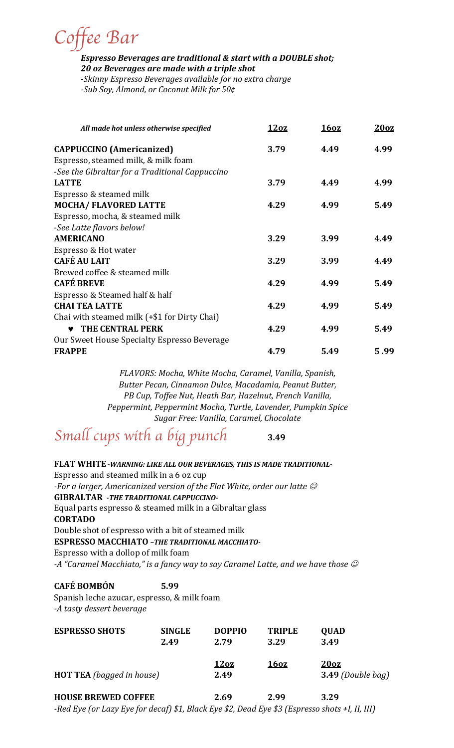*Coffee Bar*

**Espresso Beverages are traditional & start with a DOUBLE shot;** 20 oz Beverages are made with a triple shot

-Skinny Espresso Beverages available for no extra charge *-Sub Soy, Almond, or Coconut Milk for 50¢*

| All made hot unless otherwise specified         | 12oz | 16oz | 20 <sub>oz</sub> |
|-------------------------------------------------|------|------|------------------|
| <b>CAPPUCCINO</b> (Americanized)                | 3.79 | 4.49 | 4.99             |
| Espresso, steamed milk, & milk foam             |      |      |                  |
| -See the Gibraltar for a Traditional Cappuccino |      |      |                  |
| <b>LATTE</b>                                    | 3.79 | 4.49 | 4.99             |
| Espresso & steamed milk                         |      |      |                  |
| <b>MOCHA/ FLAVORED LATTE</b>                    | 4.29 | 4.99 | 5.49             |
| Espresso, mocha, & steamed milk                 |      |      |                  |
| -See Latte flavors below!                       |      |      |                  |
| <b>AMERICANO</b>                                | 3.29 | 3.99 | 4.49             |
| Espresso & Hot water                            |      |      |                  |
| <b>CAFÉ AU LAIT</b>                             | 3.29 | 3.99 | 4.49             |
| Brewed coffee & steamed milk                    |      |      |                  |
| <b>CAFÉ BREVE</b>                               | 4.29 | 4.99 | 5.49             |
| Espresso & Steamed half & half                  |      |      |                  |
| <b>CHAI TEA LATTE</b>                           | 4.29 | 4.99 | 5.49             |
| Chai with steamed milk (+\$1 for Dirty Chai)    |      |      |                  |
| THE CENTRAL PERK<br>♥                           | 4.29 | 4.99 | 5.49             |
| Our Sweet House Specialty Espresso Beverage     |      |      |                  |
| <b>FRAPPE</b>                                   | 4.79 | 5.49 | 5.99             |

*FLAVORS: Mocha, White Mocha, Caramel, Vanilla, Spanish, Butter Pecan, Cinnamon Dulce, Macadamia, Peanut Butter, PB Cup, Toffee Nut, Heath Bar, Hazelnut, French Vanilla, Peppermint, Peppermint Mocha, Turtle, Lavender, Pumpkin Spice Sugar Free: Vanilla, Caramel, Chocolate* 

*Small cups with a big punch* **3.49**

FLAT WHITE - WARNING: LIKE ALL OUR BEVERAGES, THIS IS MADE TRADITIONAL-Espresso and steamed milk in a 6 oz cup *-For a larger, Americanized version of the Flat White, order our latte*  $\mathcal O$ **GIBRALTAR** -THE TRADITIONAL CAPPUCCINO-Equal parts espresso  $&$  steamed milk in a Gibraltar glass **CORTADO** Double shot of espresso with a bit of steamed milk **ESPRESSO MACCHIATO - THE TRADITIONAL MACCHIATO-**Espresso with a dollop of milk foam *-A* "Caramel Macchiato," is a fancy way to say Caramel Latte, and we have those  $\mathcal O$ 

#### **CAFÉ BOMBÓN 5.99**

Spanish leche azucar, espresso, & milk foam *-A tasty dessert beverage* 

| <b>ESPRESSO SHOTS</b>            | <b>SINGLE</b> | <b>DOPPIO</b>                              | <b>TRIPLE</b>                                       | <b>QUAD</b>                                                              |
|----------------------------------|---------------|--------------------------------------------|-----------------------------------------------------|--------------------------------------------------------------------------|
|                                  | 2.49          | 2.79                                       | 3.29                                                | 3.49                                                                     |
| <b>HOT TEA</b> (bagged in house) |               | 12oz<br>2.49                               | <u>160z</u>                                         | 20 <sub>oz</sub><br>3.49 (Double bag)                                    |
| <b>HOUSE BREWED COFFEE</b>       |               | 2.69                                       | 2.99                                                | 3.29                                                                     |
| <b>PIP (I P C I</b>              |               | $\alpha$ $\sim$ $\alpha$ $\alpha$ $\alpha$ | $\mathbf{r}$ $\mathbf{r}$ $\mathbf{r}$ $\mathbf{r}$ | $\mathbf{v}$ . $\mathbf{v}$ , $\mathbf{v}$ , $\mathbf{v}$ , $\mathbf{v}$ |

*-Red Eye* (or Lazy Eye for decaf) \$1, Black Eye \$2, Dead Eye \$3 (Espresso shots +I, II, III)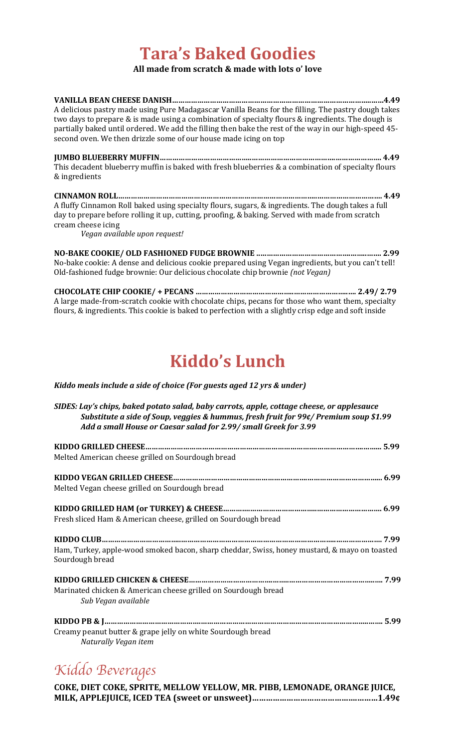## **Tara's Baked Goodies**

#### **All made from scratch & made with lots o' love**

| A delicious pastry made using Pure Madagascar Vanilla Beans for the filling. The pastry dough takes   |
|-------------------------------------------------------------------------------------------------------|
| two days to prepare & is made using a combination of specialty flours & ingredients. The dough is     |
| partially baked until ordered. We add the filling then bake the rest of the way in our high-speed 45- |
| second oven. We then drizzle some of our house made icing on top                                      |
|                                                                                                       |
| This decadent blueberry muffin is baked with fresh blueberries & a combination of specialty flours    |
| & ingredients                                                                                         |
|                                                                                                       |
| A fluffy Cinnamon Roll baked using specialty flours, sugars, & ingredients. The dough takes a full    |
| day to prepare before rolling it up, cutting, proofing, & baking. Served with made from scratch       |
| cream cheese icing                                                                                    |
| Vegan available upon request!                                                                         |
|                                                                                                       |
| No-bake cookie: A dense and delicious cookie prepared using Vegan ingredients, but you can't tell!    |
| Old-fashioned fudge brownie: Our delicious chocolate chip brownie (not Vegan)                         |
| $\alpha$ isaas lee aliin aaaliin $\beta$ neal)                                                        |

**CHOCOLATE CHIP COOKIE/ + PECANS ………………………………………..……………………..…. 2.49/ 2.79** A large made-from-scratch cookie with chocolate chips, pecans for those who want them, specialty flours, & ingredients. This cookie is baked to perfection with a slightly crisp edge and soft inside

## **Kiddo's Lunch**

#### *Kiddo meals include a side of choice (For guests aged 12 yrs & under)*

*SIDES: Lay's chips, baked potato salad, baby carrots, apple, cottage cheese, or applesauce Substitute a side of Soup, veggies & hummus, fresh fruit for 99¢/ Premium soup* \$1.99 Add a small House or Caesar salad for 2.99/ small Greek for 3.99 **KIDDO GRILLED CHEESE……………………………………………………………………….………………….……... 5.99** Melted American cheese grilled on Sourdough bread **KIDDO VEGAN GRILLED CHEESE……………………………………………………….……………………………... 6.99** Melted Vegan cheese grilled on Sourdough bread **KIDDO GRILLED HAM (or TURKEY) & CHEESE………….…………………………..…………………………. 6.99** Fresh sliced Ham & American cheese, grilled on Sourdough bread **KIDDO CLUB………………………………..………………………………………………………………..…………………. 7.99** Ham, Turkey, apple-wood smoked bacon, sharp cheddar, Swiss, honey mustard, & mayo on toasted Sourdough bread **KIDDO GRILLED CHICKEN & CHEESE………………………………….……..…………………………………..…. 7.99** Marinated chicken & American cheese grilled on Sourdough bread *Sub Vegan available*  **KIDDO PB & J……………………………………….……………………………………………………………………..……. 5.99** Creamy peanut butter & grape jelly on white Sourdough bread *Naturally Vegan item*

### *Kiddo Beverages*

**COKE, DIET COKE, SPRITE, MELLOW YELLOW, MR. PIBB, LEMONADE, ORANGE JUICE, MILK, APPLEJUICE, ICED TEA (sweet or unsweet)……………………………………….………1.49¢**